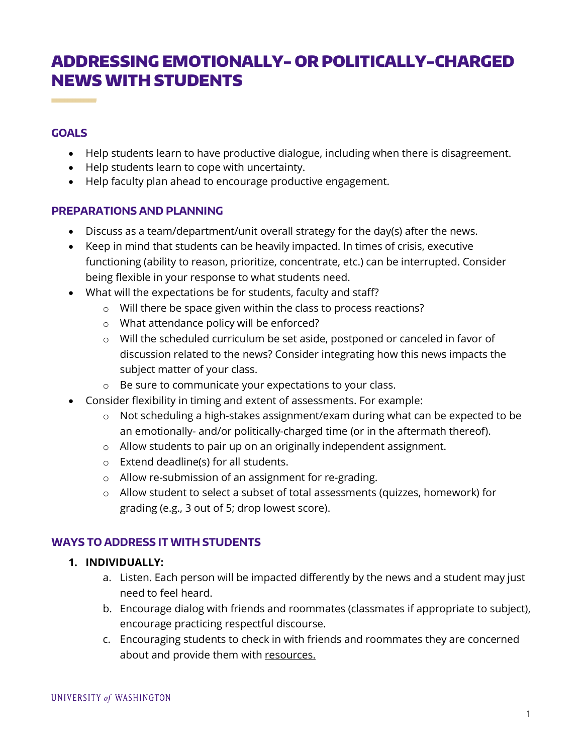# ADDRESSING EMOTIONALLY- OR POLITICALLY-CHARGED NEWS WITH STUDENTS

## **GOALS**

- Help students learn to have productive dialogue, including when there is disagreement.
- Help students learn to cope with uncertainty.
- Help faculty plan ahead to encourage productive engagement.

#### **PREPARATIONS AND PLANNING**

- Discuss as a team/department/unit overall strategy for the day(s) after the news.
- Keep in mind that students can be heavily impacted. In times of crisis, executive functioning (ability to reason, prioritize, concentrate, etc.) can be interrupted. Consider being flexible in your response to what students need.
- What will the expectations be for students, faculty and staff?
	- o Will there be space given within the class to process reactions?
	- o What attendance policy will be enforced?
	- o Will the scheduled curriculum be set aside, postponed or canceled in favor of discussion related to the news? Consider integrating how this news impacts the subject matter of your class.
	- o Be sure to communicate your expectations to your class.
- Consider flexibility in timing and extent of assessments. For example:
	- o Not scheduling a high-stakes assignment/exam during what can be expected to be an emotionally- and/or politically-charged time (or in the aftermath thereof).
	- o Allow students to pair up on an originally independent assignment.
	- o Extend deadline(s) for all students.
	- o Allow re-submission of an assignment for re-grading.
	- o Allow student to select a subset of total assessments (quizzes, homework) for grading (e.g., 3 out of 5; drop lowest score).

## **WAYS TO ADDRESS IT WITH STUDENTS**

## **1. INDIVIDUALLY:**

- a. Listen. Each person will be impacted differently by the news and a student may just need to feel heard.
- b. Encourage dialog with friends and roommates (classmates if appropriate to subject), encourage practicing respectful discourse.
- c. Encouraging students to check in with friends and roommates they are concerned about and provide them with [resources.](https://wellbeing.uw.edu/topic/mental-health/)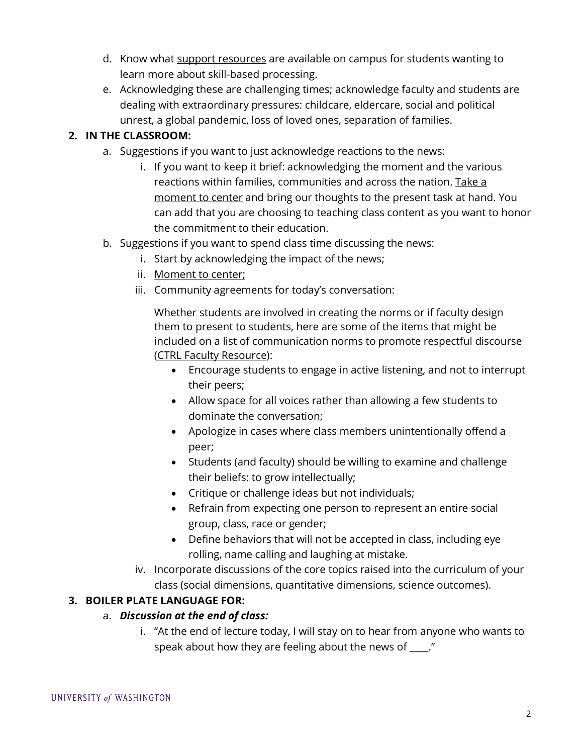- d. Know what [support resources](https://www.washington.edu/counseling/culture-of-care/) are available on campus for students wanting to learn more about skill-based processing.
- e. Acknowledging these are challenging times; acknowledge faculty and students are dealing with extraordinary pressures: childcare, eldercare, social and political unrest, a global pandemic, loss of loved ones, separation of families.

# **2. IN THE CLASSROOM:**

- a. Suggestions if you want to just acknowledge reactions to the news:
	- i. If you want to keep it brief: acknowledging the moment and the various reactions within families, communities and across the nation. [Take a](https://soundcloud.com/user-523805519/breath-awareness-meditation-by-tabitha-kirkland) [moment to center](https://soundcloud.com/user-523805519/breath-awareness-meditation-by-tabitha-kirkland) and bring our thoughts to the present task at hand. You can add that you are choosing to teaching class content as you want to honor the commitment to their education.
- b. Suggestions if you want to spend class time discussing the news:
	- i. Start by acknowledging the impact of the news;
	- ii. [Moment to center;](https://soundcloud.com/user-523805519/breath-awareness-meditation-by-tabitha-kirkland)
	- iii. Community agreements for today's conversation:

Whether students are involved in creating the norms or if faculty design them to present to students, here are some of the items that might be included on a list of communication norms to promote respectful discourse [\(CTRL Faculty Resource](https://edspace.american.edu/ctrl/portfolio-item/promoting-civil-discourse-in-troubling-times/)):

- Encourage students to engage in active listening, and not to interrupt their peers;
- Allow space for all voices rather than allowing a few students to dominate the conversation;
- Apologize in cases where class members unintentionally offend a peer;
- Students (and faculty) should be willing to examine and challenge their beliefs: to grow intellectually;
- Critique or challenge ideas but not individuals;
- Refrain from expecting one person to represent an entire social group, class, race or gender;
- Define behaviors that will not be accepted in class, including eye rolling, name calling and laughing at mistake.
- iv. Incorporate discussions of the core topics raised into the curriculum of your class (social dimensions, quantitative dimensions, science outcomes).

# **3. BOILER PLATE LANGUAGE FOR:**

## a. *Discussion at the end of class:*

i. "At the end of lecture today, I will stay on to hear from anyone who wants to speak about how they are feeling about the news of \_\_\_\_."